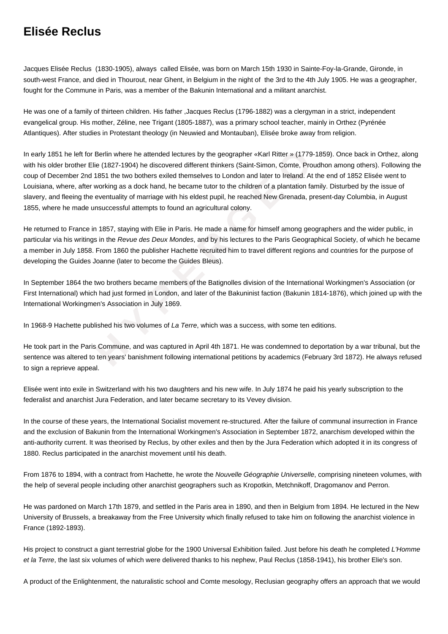## **Elisée Reclus**

Jacques Elisée Reclus (1830-1905), always called Elisée, was born on March 15th 1930 in Sainte-Foy-la-Grande, Gironde, in south-west France, and died in Thourout, near Ghent, in Belgium in the night of the 3rd to the 4th July 1905. He was a geographer, fought for the Commune in Paris, was a member of the Bakunin International and a militant anarchist.

He was one of a family of thirteen children. His father ,Jacques Reclus (1796-1882) was a clergyman in a strict, independent evangelical group. His mother, Zéline, nee Trigant (1805-1887), was a primary school teacher, mainly in Orthez (Pyrénée Atlantiques). After studies in Protestant theology (in Neuwied and Montauban), Elisée broke away from religion.

left for Berlin where he attended lectures by the geographer «Karl Ritter » (1779-18:<br>ther Elie (1827-1904) he discovered different thinkers (Saint-Simon, Comte, Proudh<br>are  $T$  and 1851 te two bothers exiled themselves to In early 1851 he left for Berlin where he attended lectures by the geographer «Karl Ritter » (1779-1859). Once back in Orthez, along with his older brother Elie (1827-1904) he discovered different thinkers (Saint-Simon, Comte, Proudhon among others). Following the coup of December 2nd 1851 the two bothers exiled themselves to London and later to Ireland. At the end of 1852 Elisée went to Louisiana, where, after working as a dock hand, he became tutor to the children of a plantation family. Disturbed by the issue of slavery, and fleeing the eventuality of marriage with his eldest pupil, he reached New Grenada, present-day Columbia, in August 1855, where he made unsuccessful attempts to found an agricultural colony.

He returned to France in 1857, staying with Elie in Paris. He made a name for himself among geographers and the wider public, in particular via his writings in the Revue des Deux Mondes, and by his lectures to the Paris Geographical Society, of which he became a member in July 1858. From 1860 the publisher Hachette recruited him to travel different regions and countries for the purpose of developing the Guides Joanne (later to become the Guides Bleus).

In September 1864 the two brothers became members of the Batignolles division of the International Workingmen's Association (or First International) which had just formed in London, and later of the Bakuninist faction (Bakunin 1814-1876), which joined up with the International Workingmen's Association in July 1869.

In 1968-9 Hachette published his two volumes of La Terre, which was a success, with some ten editions.

He took part in the Paris Commune, and was captured in April 4th 1871. He was condemned to deportation by a war tribunal, but the sentence was altered to ten years' banishment following international petitions by academics (February 3rd 1872). He always refused to sign a reprieve appeal.

Elisée went into exile in Switzerland with his two daughters and his new wife. In July 1874 he paid his yearly subscription to the federalist and anarchist Jura Federation, and later became secretary to its Vevey division.

In the course of these years, the International Socialist movement re-structured. After the failure of communal insurrection in France and the exclusion of Bakunin from the International Workingmen's Association in September 1872, anarchism developed within the anti-authority current. It was theorised by Reclus, by other exiles and then by the Jura Federation which adopted it in its congress of 1880. Reclus participated in the anarchist movement until his death.

From 1876 to 1894, with a contract from Hachette, he wrote the Nouvelle Géographie Universelle, comprising nineteen volumes, with the help of several people including other anarchist geographers such as Kropotkin, Metchnikoff, Dragomanov and Perron.

He was pardoned on March 17th 1879, and settled in the Paris area in 1890, and then in Belgium from 1894. He lectured in the New University of Brussels, a breakaway from the Free University which finally refused to take him on following the anarchist violence in France (1892-1893).

His project to construct a giant terrestrial globe for the 1900 Universal Exhibition failed. Just before his death he completed L'Homme et la Terre, the last six volumes of which were delivered thanks to his nephew, Paul Reclus (1858-1941), his brother Elie's son.

A product of the Enlightenment, the naturalistic school and Comte mesology, Reclusian geography offers an approach that we would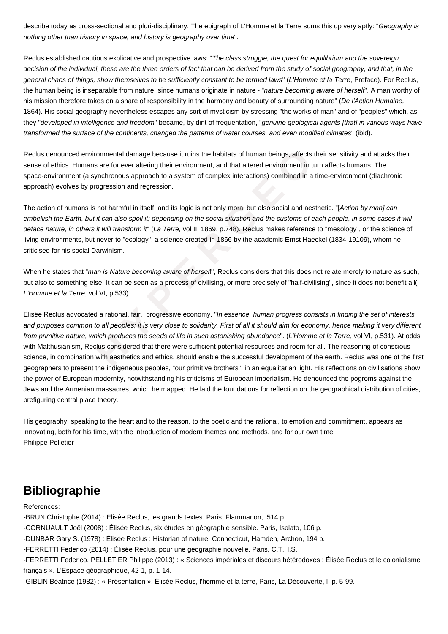describe today as cross-sectional and pluri-disciplinary. The epigraph of L'Homme et la Terre sums this up very aptly: "Geography is nothing other than history in space, and history is geography over time".

Reclus established cautious explicative and prospective laws: "The class struggle, the quest for equilibrium and the sovereign decision of the individual, these are the three orders of fact that can be derived from the study of social geography, and that, in the general chaos of things, show themselves to be sufficiently constant to be termed laws" (L'Homme et la Terre, Preface). For Reclus, the human being is inseparable from nature, since humans originate in nature - "*nature becoming aware of herself*". A man worthy of his mission therefore takes on a share of responsibility in the harmony and beauty of surrounding nature" (De l'Action Humaine, 1864). His social geography nevertheless escapes any sort of mysticism by stressing "the works of man" and of "peoples" which, as they "developed in intelligence and freedom" became, by dint of frequentation, "genuine geological agents [that] in various ways have transformed the surface of the continents, changed the patterns of water courses, and even modified climates" (ibid).

Reclus denounced environmental damage because it ruins the habitats of human beings, affects their sensitivity and attacks their sense of ethics. Humans are for ever altering their environment, and that altered environment in turn affects humans. The space-environment (a synchronous approach to a system of complex interactions) combined in a time-environment (diachronic approach) evolves by progression and regression.

The action of humans is not harmful in itself, and its logic is not only moral but also social and aesthetic. "[Action by man] can embellish the Earth, but it can also spoil it; depending on the social situation and the customs of each people, in some cases it will deface nature, in others it will transform it" (La Terre, vol II, 1869, p.748). Reclus makes reference to "mesology", or the science of living environments, but never to "ecology", a science created in 1866 by the academic Ernst Haeckel (1834-19109), whom he criticised for his social Darwinism.

When he states that "man is Nature becoming aware of herself", Reclus considers that this does not relate merely to nature as such, but also to something else. It can be seen as a process of civilising, or more precisely of "half-civilising", since it does not benefit all( L'Homme et la Terre, vol VI, p.533).

of environmental damage because it ruins the habitats of human beings, affects the<br>dumans are for ever altering their environment, and that altered environment in turn<br>that a synchronous approach to a system of complex int Elisée Reclus advocated a rational, fair, progressive economy. "In essence, human progress consists in finding the set of interests and purposes common to all peoples; it is very close to solidarity. First of all it should aim for economy, hence making it very different from primitive nature, which produces the seeds of life in such astonishing abundance". (L'Homme et la Terre, vol VI, p.531). At odds with Malthusianism, Reclus considered that there were sufficient potential resources and room for all. The reasoning of conscious science, in combination with aesthetics and ethics, should enable the successful development of the earth. Reclus was one of the first geographers to present the indigeneous peoples, "our primitive brothers", in an equalitarian light. His reflections on civilisations show the power of European modernity, notwithstanding his criticisms of European imperialism. He denounced the pogroms against the Jews and the Armenian massacres, which he mapped. He laid the foundations for reflection on the geographical distribution of cities, prefiguring central place theory.

His geography, speaking to the heart and to the reason, to the poetic and the rational, to emotion and commitment, appears as innovating, both for his time, with the introduction of modern themes and methods, and for our own time. Philippe Pelletier

## **Bibliographie**

## References:

-BRUN Christophe (2014) : Élisée Reclus, les grands textes. Paris, Flammarion, 514 p. -CORNUAULT Joël (2008) : Élisée Reclus, six études en géographie sensible. Paris, Isolato, 106 p. -DUNBAR Gary S. (1978) : Élisée Reclus : Historian of nature. Connecticut, Hamden, Archon, 194 p. -FERRETTI Federico (2014) : Élisée Reclus, pour une géographie nouvelle. Paris, C.T.H.S. -FERRETTI Federico, PELLETIER Philippe (2013) : « Sciences impériales et discours hétérodoxes : Élisée Reclus et le colonialisme français ». L'Espace géographique, 42-1, p. 1-14. -GIBLIN Béatrice (1982) : « Présentation ». Élisée Reclus, l'homme et la terre, Paris, La Découverte, I, p. 5-99.